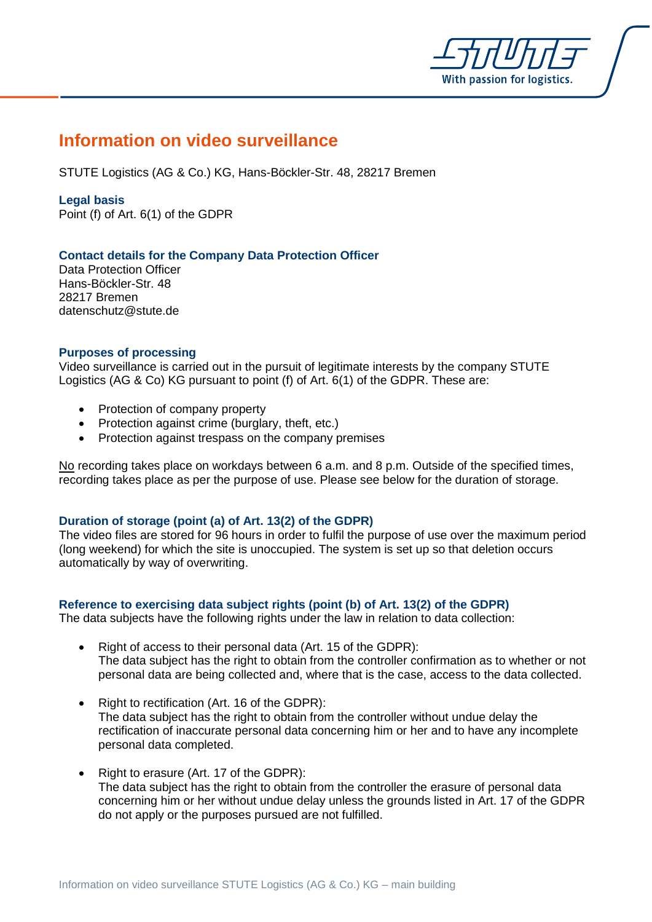

# **Information on video surveillance**

STUTE Logistics (AG & Co.) KG, Hans-Böckler-Str. 48, 28217 Bremen

**Legal basis** 

Point (f) of Art. 6(1) of the GDPR

# **Contact details for the Company Data Protection Officer**

Data Protection Officer Hans-Böckler-Str. 48 28217 Bremen datenschutz@stute.de

### **Purposes of processing**

Video surveillance is carried out in the pursuit of legitimate interests by the company STUTE Logistics (AG & Co) KG pursuant to point (f) of Art. 6(1) of the GDPR. These are:

- Protection of company property
- Protection against crime (burglary, theft, etc.)
- Protection against trespass on the company premises

No recording takes place on workdays between 6 a.m. and 8 p.m. Outside of the specified times, recording takes place as per the purpose of use. Please see below for the duration of storage.

# **Duration of storage (point (a) of Art. 13(2) of the GDPR)**

The video files are stored for 96 hours in order to fulfil the purpose of use over the maximum period (long weekend) for which the site is unoccupied. The system is set up so that deletion occurs automatically by way of overwriting.

# **Reference to exercising data subject rights (point (b) of Art. 13(2) of the GDPR)**

The data subjects have the following rights under the law in relation to data collection:

- Right of access to their personal data (Art. 15 of the GDPR): The data subject has the right to obtain from the controller confirmation as to whether or not personal data are being collected and, where that is the case, access to the data collected.
- Right to rectification (Art. 16 of the GDPR): The data subject has the right to obtain from the controller without undue delay the rectification of inaccurate personal data concerning him or her and to have any incomplete personal data completed.
- Right to erasure (Art. 17 of the GDPR): The data subject has the right to obtain from the controller the erasure of personal data concerning him or her without undue delay unless the grounds listed in Art. 17 of the GDPR do not apply or the purposes pursued are not fulfilled.